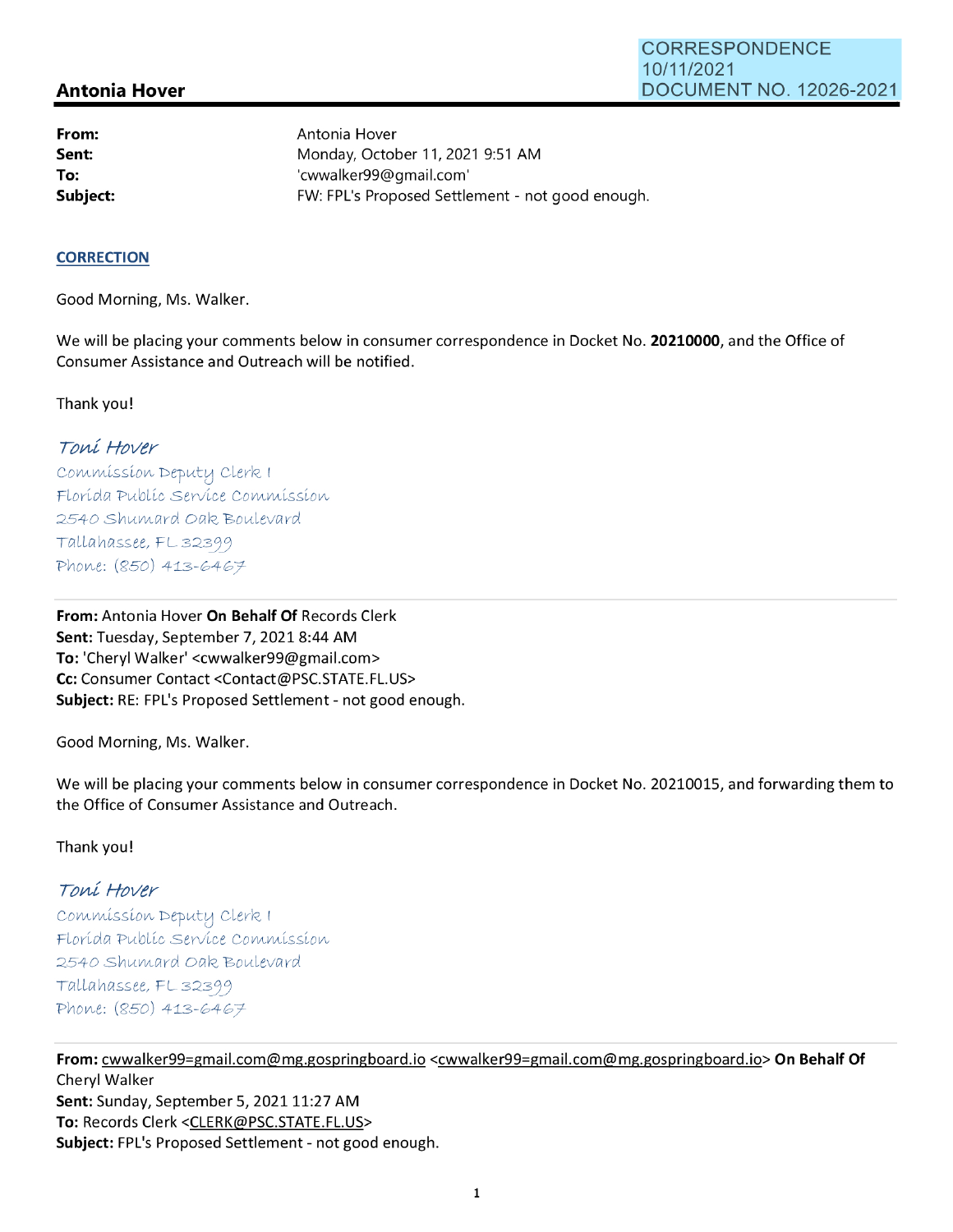## **Antonia Hover**

**From: Sent: To:** 

Antonia Hover Monday, October 11, 2021 9:51 AM 'cwwalker99@gmail.com' **Subject:** FW: FPL's Proposed Settlement - not good enough.

### **CORRECTION**

Good Morning, Ms. Walker.

We will be placing your comments below in consumer correspondence in Docket No. **20210000,** and the Office of Consumer Assistance and Outreach will be notified.

Thank you!

# Toni Hover

Commission Deputy Clerk I Florída Publíc Servíce Commission 2540 Shumard Oak Boulevard Tallahassee, FL32399 Phone:  $(850)$  413-6467

**From:** Antonia Hover **On Behalf Of** Records Clerk Sent: Tuesday, September 7, 2021 8:44 AM **To:** 'Cheryl Walker' <cwwalker99@gmail.com> **Cc:** Consumer Contact <Contact@PSC.STATE.FL.US> **Subject:** RE: FPL's Proposed Settlement - not good enough.

Good Morning, Ms. Walker.

We will be placing your comments below in consumer correspondence in Docket No. 20210015, and forwarding them to the Office of Consumer Assistance and Outreach.

### Thank you!

### Toni Hover

Commission Deputy Clerk I Florída Publíc Servíce Commission 2540 Shumard Oak Boulevard Tallahassee, FL 32399 Phone:  $(850)$  413-6467

**From:** cwwalker99=gmail.com@mg.gospringboard.io <cwwalker99=gmail.com@mg.gospringboard.io> **On Behalf Of**  Cheryl Walker **Sent:** Sunday, September 5, 2021 11:27 AM **To:** Records Clerk <CLERK@PSC.STATE.FL.US> **Subject:** FPL's Proposed Settlement - not good enough.